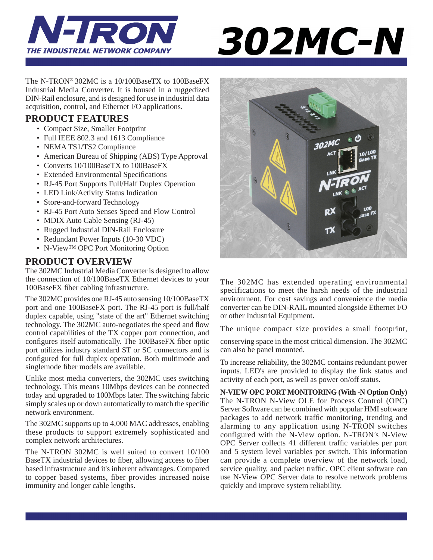

# 302MC-N

The N-TRON® 302MC is a 10/100BaseTX to 100BaseFX Industrial Media Converter. It is housed in a ruggedized DIN-Rail enclosure, and is designed for use in industrial data acquisition, control, and Ethernet I/O applications.

## **PRODUCT FEATURES**

- Compact Size, Smaller Footprint
- Full IEEE 802.3 and 1613 Compliance
- NEMA TS1/TS2 Compliance
- American Bureau of Shipping (ABS) Type Approval
- Converts 10/100BaseTX to 100BaseFX
- Extended Environmental Specifications
- RJ-45 Port Supports Full/Half Duplex Operation
- LED Link/Activity Status Indication
- Store-and-forward Technology
- RJ-45 Port Auto Senses Speed and Flow Control
- MDIX Auto Cable Sensing (RJ-45)
- Rugged Industrial DIN-Rail Enclosure
- Redundant Power Inputs (10-30 VDC)
- N-View™ OPC Port Monitoring Option

## **PRODUCT OVERVIEW**

The 302MC Industrial Media Converter is designed to allow the connection of 10/100BaseTX Ethernet devices to your 100BaseFX fiber cabling infrastructure.

The 302MC provides one RJ-45 auto sensing 10/100BaseTX port and one 100BaseFX port. The RJ-45 port is full/half duplex capable, using "state of the art" Ethernet switching technology. The 302MC auto-negotiates the speed and flow control capabilities of the TX copper port connection, and configures itself automatically. The 100BaseFX fiber optic port utilizes industry standard ST or SC connectors and is configured for full duplex operation. Both multimode and singlemode fiber models are available.

Unlike most media converters, the 302MC uses switching technology. This means 10Mbps devices can be connected today and upgraded to 100Mbps later. The switching fabric simply scales up or down automatically to match the specific network environment.

The 302MC supports up to 4,000 MAC addresses, enabling these products to support extremely sophisticated and complex network architectures.

The N-TRON 302MC is well suited to convert 10/100 BaseTX industrial devices to fiber, allowing access to fiber based infrastructure and it's inherent advantages. Compared to copper based systems, fiber provides increased noise immunity and longer cable lengths.



The 302MC has extended operating environmental specifications to meet the harsh needs of the industrial environment. For cost savings and convenience the media converter can be DIN-RAIL mounted alongside Ethernet I/O or other Industrial Equipment.

The unique compact size provides a small footprint,

conserving space in the most critical dimension. The 302MC can also be panel mounted.

To increase reliability, the 302MC contains redundant power inputs. LED's are provided to display the link status and activity of each port, as well as power on/off status.

**N-VIEW OPC PORT MONITORING (With -N Option Only)**  The N-TRON N-View OLE for Process Control (OPC) Server Software can be combined with popular HMI software packages to add network traffic monitoring, trending and alarming to any application using N-TRON switches configured with the N-View option. N-TRON*'*s N-View OPC Server collects 41 different traffic variables per port and 5 system level variables per switch. This information can provide a complete overview of the network load, service quality, and packet traffic. OPC client software can use N-View OPC Server data to resolve network problems quickly and improve system reliability.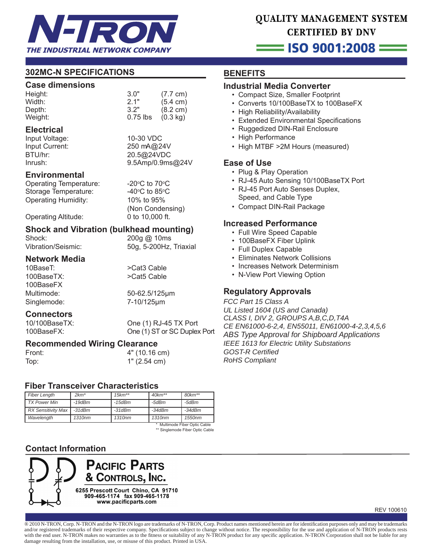

## QUALITY MANAGEMENT SYSTEM **CERTIFIED BY DNV**

## $=$  ISO 9001:2008  $=$

## **302MC-N SPECIFICATIONS**

#### **Case dimensions**

| Height: | 3.0"       | $(7.7 \text{ cm})$ |
|---------|------------|--------------------|
| Width:  | 2.1"       | $(5.4 \text{ cm})$ |
| Depth:  | 3.2"       | $(8.2 \text{ cm})$ |
| Weight: | $0.75$ lbs | $(0.3 \text{ kg})$ |

#### **Electrical**

Input Voltage: 10-30 VDC Input Current: 250 mA@24V BTU/hr: 20.5@24VDC 9.5Amp/0.9ms@24V

C to  $70^{\circ}$ C

C to 85 $\degree$ C

(Non Condensing)

#### **Environmental**

Operating Temperature: Storage Temperature:

Operating Humidity: 10% to 95%

Operating Altitude: 0 to 10,000 ft.

# **Shock and Vibration (bulkhead mounting)**<br>Shock: 200g @ 10ms

200g @ 10ms Vibration/Seismic: 50g, 5-200Hz, Triaxial

# **Network Media**

100BaseTX: >Cat5 Cable 100BaseFX Singlemode: 7-10/125μm

Multimode: 50-62.5/125μm

>Cat3 Cable

# **Connectors**<br>10/100BaseTX:

One (1) RJ-45 TX Port 100BaseFX: One (1) ST or SC Duplex Port

## **Recommended Wiring Clearance**

Front: 4" (10.16 cm) Top: 1" (2.54 cm)

#### **Fiber Transceiver Characteristics**

| <b>Fiber Length</b>           | $2km*$       | $15km**$ | $40km**$ | $80km**$ |
|-------------------------------|--------------|----------|----------|----------|
| <b>TX Power Min</b>           | $-19dBm$     | $-15dBm$ | $-5dBm$  | -5dBm    |
| <b>RX Sensitivity Max</b>     | $-31$ d $Bm$ | $-31dBm$ | $-34dBm$ | $-34dBm$ |
| Wavelength                    | 1310nm       | 1310nm   | 1310nm   | 1550nm   |
| * Multimode Fiber Optic Cable |              |          |          |          |

\* Multimode Fiber Optic Cable \*\* Singlemode Fiber Optic Cable

## **Contact Information**



REV 100610

® 2010 N-TRON, Corp. N-TRON and the N-TRON logo are trademarks of N-TRON, Corp. Product names mentioned herein are for identification purposes only and may be trademarks and/or registered trademarks of their respective company. Specifications subject to change without notice. The responsibility for the use and application of N-TRON products rests with the end user. N-TRON makes no warranties as to the fitness or suitability of any N-TRON product for any specific application. N-TRON Corporation shall not be liable for any damage resulting from the installation, use, or misuse of this product. Printed in USA.

## **BENEFITS**

## **Industrial Media Converter**

- Compact Size, Smaller Footprint
- Converts 10/100BaseTX to 100BaseFX
- High Reliability/Availability
- Extended Environmental Specifications
- Ruggedized DIN-Rail Enclosure
- High Performance
- High MTBF >2M Hours (measured)

## **Ease of Use**

- Plug & Play Operation
- RJ-45 Auto Sensing 10/100BaseTX Port
- RJ-45 Port Auto Senses Duplex, Speed, and Cable Type
- Compact DIN-Rail Package

## **Increased Performance**

- Full Wire Speed Capable
- 100BaseFX Fiber Uplink
- Full Duplex Capable
- Eliminates Network Collisions
- Increases Network Determinism
- N-View Port Viewing Option

## **Regulatory Approvals**

*FCC Part 15 Class A UL Listed 1604 (US and Canada) CLASS I, DIV 2, GROUPS A,B,C,D,T4A CE EN61000-6-2,4, EN55011, EN61000-4-2,3,4,5,6 ABS Type Approval for Shipboard Applications IEEE 1613 for Electric Utility Substations GOST-R Certifi ed RoHS Compliant*